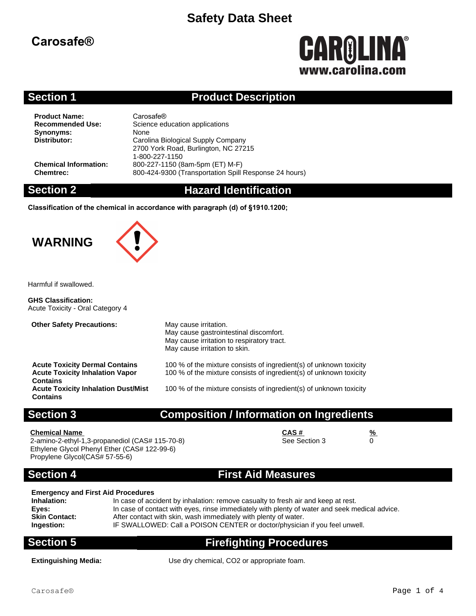# **Carosafe®**

# **CAROLINA®** www.carolina.co

### **Section 1 Product Description**

**Product Name:** Carosafe<sup>®</sup><br> **Recommended Use:** Science ed **Synonyms:** None<br> **Distributor:** Caroli

**Science education applications Distributor:** Carolina Biological Supply Company 2700 York Road, Burlington, NC 27215 1-800-227-1150 **Chemical Information:** 800-227-1150 (8am-5pm (ET) M-F) **Chemtrec:** 800-424-9300 (Transportation Spill Response 24 hours)

### **Section 2 Hazard Identification**

**Classification of the chemical in accordance with paragraph (d) of §1910.1200;**

# **WARNING**



Harmful if swallowed.

**GHS Classification:** Acute Toxicity - Oral Category 4

| <b>Other Safety Precautions:</b>                                                                   | May cause irritation.<br>May cause gastrointestinal discomfort.<br>May cause irritation to respiratory tract.<br>May cause irritation to skin. |
|----------------------------------------------------------------------------------------------------|------------------------------------------------------------------------------------------------------------------------------------------------|
| <b>Acute Toxicity Dermal Contains</b><br><b>Acute Toxicity Inhalation Vapor</b><br><b>Contains</b> | 100 % of the mixture consists of ingredient(s) of unknown toxicity<br>100 % of the mixture consists of ingredient(s) of unknown toxicity       |
| <b>Acute Toxicity Inhalation Dust/Mist</b><br><b>Contains</b>                                      | 100 % of the mixture consists of ingredient(s) of unknown toxicity                                                                             |

### **Section 3 Composition / Information on Ingredients**

### **Chemical Name CAS # %**

2-amino-2-ethyl-1,3-propanediol (CAS# 115-70-8) Ethylene Glycol Phenyl Ether (CAS# 122-99-6) Propylene Glycol(CAS# 57-55-6)

See Section 3 0

### **Section 4 First Aid Measures**

### **Emergency and First Aid Procedures**

| In case of accident by inhalation: remove casualty to fresh air and keep at rest.             |
|-----------------------------------------------------------------------------------------------|
| In case of contact with eyes, rinse immediately with plenty of water and seek medical advice. |
| After contact with skin, wash immediately with plenty of water.                               |
| IF SWALLOWED: Call a POISON CENTER or doctor/physician if you feel unwell.                    |
|                                                                                               |

# **Section 5 Firefighting Procedures**

**Extinguishing Media:** Use dry chemical, CO2 or appropriate foam.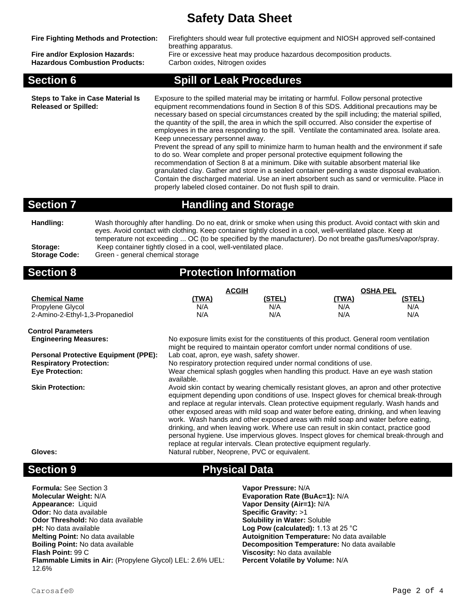| <b>Fire Fighting Methods and Protection:</b><br>Fire and/or Explosion Hazards:<br><b>Hazardous Combustion Products:</b> | Firefighters should wear full protective equipment and NIOSH approved self-contained<br>breathing apparatus.<br>Fire or excessive heat may produce hazardous decomposition products.<br>Carbon oxides, Nitrogen oxides                                                                                                                                                                                                                                                                                                                                                                                                                                                                                                                                                                                                                                                                                                                                                                                                                                                       |
|-------------------------------------------------------------------------------------------------------------------------|------------------------------------------------------------------------------------------------------------------------------------------------------------------------------------------------------------------------------------------------------------------------------------------------------------------------------------------------------------------------------------------------------------------------------------------------------------------------------------------------------------------------------------------------------------------------------------------------------------------------------------------------------------------------------------------------------------------------------------------------------------------------------------------------------------------------------------------------------------------------------------------------------------------------------------------------------------------------------------------------------------------------------------------------------------------------------|
| <b>Section 6</b>                                                                                                        | <b>Spill or Leak Procedures</b>                                                                                                                                                                                                                                                                                                                                                                                                                                                                                                                                                                                                                                                                                                                                                                                                                                                                                                                                                                                                                                              |
| <b>Steps to Take in Case Material Is</b><br><b>Released or Spilled:</b>                                                 | Exposure to the spilled material may be irritating or harmful. Follow personal protective<br>equipment recommendations found in Section 8 of this SDS. Additional precautions may be<br>necessary based on special circumstances created by the spill including; the material spilled,<br>the quantity of the spill, the area in which the spill occurred. Also consider the expertise of<br>employees in the area responding to the spill. Ventilate the contaminated area. Isolate area.<br>Keep unnecessary personnel away.<br>Prevent the spread of any spill to minimize harm to human health and the environment if safe<br>to do so. Wear complete and proper personal protective equipment following the<br>recommendation of Section 8 at a minimum. Dike with suitable absorbent material like<br>granulated clay. Gather and store in a sealed container pending a waste disposal evaluation.<br>Contain the discharged material. Use an inert absorbent such as sand or vermiculite. Place in<br>properly labeled closed container. Do not flush spill to drain. |
| <b>Section 7</b>                                                                                                        | <b>Handling and Storage</b>                                                                                                                                                                                                                                                                                                                                                                                                                                                                                                                                                                                                                                                                                                                                                                                                                                                                                                                                                                                                                                                  |

**Handling:** Wash thoroughly after handling. Do no eat, drink or smoke when using this product. Avoid contact with skin and eyes. Avoid contact with clothing. Keep container tightly closed in a cool, well-ventilated place. Keep at temperature not exceeding ... OC (to be specified by the manufacturer). Do not breathe gas/fumes/vapor/spray. Storage: Keep container tightly closed in a cool, well-ventilated place.<br>Storage Code: Green - general chemical storage **Storage Code:** Green - general chemical storage

### **Section 8 Protection Information**

|                                 | <b>ACGIH</b> |        | <b>OSHA PEL</b> |               |
|---------------------------------|--------------|--------|-----------------|---------------|
| <b>Chemical Name</b>            | <u>'TWA)</u> | (STEL) | <u>(TWA)</u>    | <u>(STEL)</u> |
| Propylene Glycol                | N/A          | N/A    | N/A             | N/A           |
| 2-Amino-2-Ethyl-1,3-Propanediol | N/A          | N/A    | N/A             | N/A           |

**Control Parameters**

**Personal Protective Equipment (PPE):** Lab coat, apron, eye wash, safety shower.

**Engineering Measures:** No exposure limits exist for the constituents of this product. General room ventilation might be required to maintain operator comfort under normal conditions of use.

**Respiratory Protection:** No respiratory protection required under normal conditions of use.

**Eye Protection:** Wear chemical splash goggles when handling this product. Have an eye wash station available.

**Skin Protection:** Avoid skin contact by wearing chemically resistant gloves, an apron and other protective equipment depending upon conditions of use. Inspect gloves for chemical break-through and replace at regular intervals. Clean protective equipment regularly. Wash hands and other exposed areas with mild soap and water before eating, drinking, and when leaving work. Wash hands and other exposed areas with mild soap and water before eating, drinking, and when leaving work. Where use can result in skin contact, practice good personal hygiene. Use impervious gloves. Inspect gloves for chemical break-through and replace at regular intervals. Clean protective equipment regularly. Gloves: **Natural rubber, Neoprene, PVC or equivalent.** 

## **Section 9 Physical Data**

| <b>Formula:</b> See Section 3                                     |
|-------------------------------------------------------------------|
| <b>Molecular Weight: N/A</b>                                      |
| Appearance: Liquid                                                |
| <b>Odor:</b> No data available                                    |
| <b>Odor Threshold:</b> No data available                          |
| <b>pH:</b> No data available                                      |
| <b>Melting Point: No data available</b>                           |
| <b>Boiling Point: No data available</b>                           |
| <b>Flash Point: 99 C</b>                                          |
| <b>Flammable Limits in Air:</b> (Propylene Glycol) LEL: 2.6% UEL: |
| 12.6%                                                             |

**Vapor Pressure: N/A Molecular Weight:** N/A **Evaporation Rate (BuAc=1):** N/A **Vapor Density (Air=1): N/A Specific Gravity: >1 Solubility in Water: Soluble Log Pow (calculated):** 1.13 at 25 °C **Melting Point:** No data available **Autoignition Temperature:** No data available **Decomposition Temperature:** No data available **Viscosity:** No data available **Percent Volatile by Volume:** N/A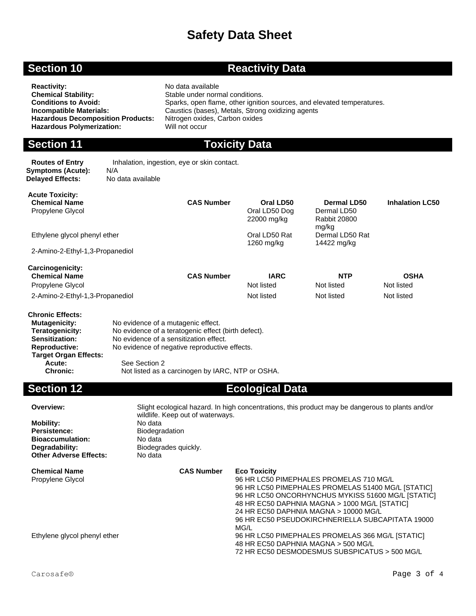# **Section 10 <b>Reactivity Data**

| <b>Reactivity:</b>                       | No data available                                                      |
|------------------------------------------|------------------------------------------------------------------------|
| <b>Chemical Stability:</b>               | Stable under normal conditions.                                        |
| <b>Conditions to Avoid:</b>              | Sparks, open flame, other ignition sources, and elevated temperatures. |
| Incompatible Materials:                  | Caustics (bases), Metals, Strong oxidizing agents                      |
| <b>Hazardous Decomposition Products:</b> | Nitrogen oxides, Carbon oxides                                         |
| <b>Hazardous Polymerization:</b>         | Will not occur                                                         |
|                                          |                                                                        |

# **Section 11 Toxicity Data**

| <b>Routes of Entry</b>  | Inhalation, ingestion, eye or skin contact. |
|-------------------------|---------------------------------------------|
|                         | N/A                                         |
| <b>Delaved Effects:</b> | No data available                           |
| Symptoms (Acute):       |                                             |

| <b>Acute Toxicity:</b><br><b>Chemical Name</b><br>Propylene Glycol | <b>CAS Number</b> | Oral LD50<br>Oral LD50 Dog<br>22000 mg/kg | Dermal LD50<br>Dermal LD50<br>Rabbit 20800 | <b>Inhalation LC50</b>    |
|--------------------------------------------------------------------|-------------------|-------------------------------------------|--------------------------------------------|---------------------------|
| Ethylene glycol phenyl ether                                       |                   | Oral LD50 Rat<br>1260 mg/kg               | mg/kg<br>Dermal LD50 Rat<br>14422 mg/kg    |                           |
| 2-Amino-2-Ethyl-1,3-Propanediol                                    |                   |                                           |                                            |                           |
| Carcinogenicity:                                                   |                   |                                           |                                            |                           |
| <b>Chemical Name</b><br>Propylene Glycol                           | <b>CAS Number</b> | <b>IARC</b><br>Not listed                 | <b>NTP</b><br>Not listed                   | <b>OSHA</b><br>Not listed |
|                                                                    |                   |                                           |                                            |                           |
| 2-Amino-2-Ethyl-1,3-Propanediol<br><b>Chronic Effects:</b>         |                   | Not listed                                | Not listed                                 | Not listed                |

| No evidence of a mutagenic effect.                  |
|-----------------------------------------------------|
| No evidence of a teratogenic effect (birth defect). |
| No evidence of a sensitization effect.              |
| No evidence of negative reproductive effects.       |
|                                                     |
| See Section 2                                       |
| Not listed as a carcinogen by IARC, NTP or OSHA.    |
|                                                     |

### **Section 12 Ecological Data**

| Overview:                     | Slight ecological hazard. In high concentrations, this product may be dangerous to plants and/or<br>wildlife. Keep out of waterways. |                                                    |  |  |  |  |
|-------------------------------|--------------------------------------------------------------------------------------------------------------------------------------|----------------------------------------------------|--|--|--|--|
| <b>Mobility:</b>              | No data                                                                                                                              |                                                    |  |  |  |  |
| Persistence:                  | <b>Biodegradation</b>                                                                                                                |                                                    |  |  |  |  |
| <b>Bioaccumulation:</b>       | No data                                                                                                                              |                                                    |  |  |  |  |
| Degradability:                | Biodegrades quickly.                                                                                                                 |                                                    |  |  |  |  |
| <b>Other Adverse Effects:</b> | No data                                                                                                                              |                                                    |  |  |  |  |
| <b>Chemical Name</b>          | <b>CAS Number</b>                                                                                                                    | <b>Eco Toxicity</b>                                |  |  |  |  |
| Propylene Glycol              |                                                                                                                                      | 96 HR LC50 PIMEPHALES PROMELAS 710 MG/L            |  |  |  |  |
|                               |                                                                                                                                      | 96 HR LC50 PIMEPHALES PROMELAS 51400 MG/L [STATIC] |  |  |  |  |
|                               |                                                                                                                                      | 96 HR LC50 ONCORHYNCHUS MYKISS 51600 MG/L [STATIC] |  |  |  |  |
|                               |                                                                                                                                      | 48 HR EC50 DAPHNIA MAGNA > 1000 MG/L [STATIC]      |  |  |  |  |
|                               |                                                                                                                                      | 24 HR EC50 DAPHNIA MAGNA > 10000 MG/L              |  |  |  |  |
|                               |                                                                                                                                      | 96 HR EC50 PSEUDOKIRCHNERIELLA SUBCAPITATA 19000   |  |  |  |  |
|                               |                                                                                                                                      | MG/L                                               |  |  |  |  |
| Ethylene glycol phenyl ether  |                                                                                                                                      | 96 HR LC50 PIMEPHALES PROMELAS 366 MG/L [STATIC]   |  |  |  |  |
|                               |                                                                                                                                      | 48 HR EC50 DAPHNIA MAGNA > 500 MG/L                |  |  |  |  |
|                               |                                                                                                                                      | 72 HR EC50 DESMODESMUS SUBSPICATUS > 500 MG/L      |  |  |  |  |